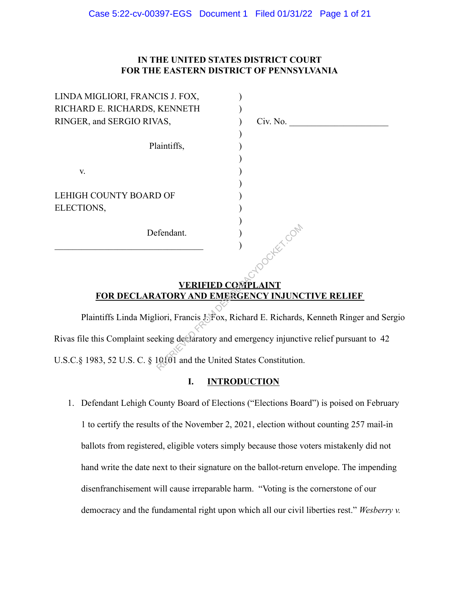# **IN THE UNITED STATES DISTRICT COURT FOR THE EASTERN DISTRICT OF PENNSYLVANIA**

| Civ. No.       |
|----------------|
|                |
|                |
|                |
|                |
|                |
|                |
|                |
|                |
|                |
| <b>IFF</b> COM |
|                |
|                |

# **VERIFIED COMPLAINT FOR DECLARATORY AND EMERGENCY INJUNCTIVE RELIEF**

Plaintiffs Linda Migliori, Francis J. Fox, Richard E. Richards, Kenneth Ringer and Sergio Rivas file this Complaint seeking declaratory and emergency injunctive relief pursuant to 42 U.S.C.§ 1983, 52 U.S. C. § 10101 and the United States Constitution. Fendant.<br>
(COMPLAINT)<br>
(COMPLAINT<br>
ATORY AND EMERGENCY INJUNC<br>
lioni, Francis Liffox, Richard E. Richards,<br>
eking declaratory and emergency injunction<br>
10101 and the United States Constitution

# **I. INTRODUCTION**

1. Defendant Lehigh County Board of Elections ("Elections Board") is poised on February 1 to certify the results of the November 2, 2021, election without counting 257 mail-in ballots from registered, eligible voters simply because those voters mistakenly did not hand write the date next to their signature on the ballot-return envelope. The impending disenfranchisement will cause irreparable harm. "Voting is the cornerstone of our democracy and the fundamental right upon which all our civil liberties rest." *Wesberry v.*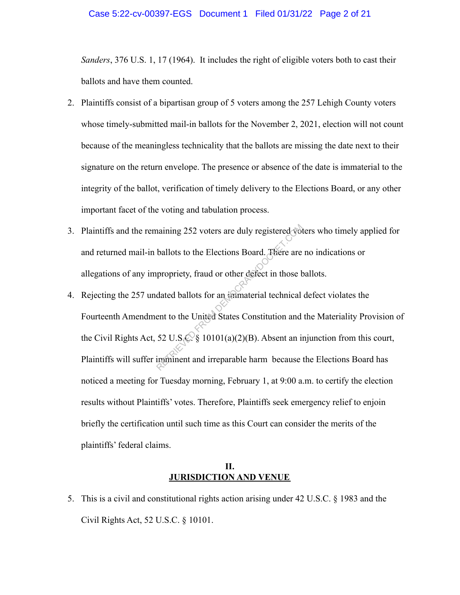#### Case 5:22-cv-00397-EGS Document 1 Filed 01/31/22 Page 2 of 21

*Sanders*, 376 U.S. 1, 17 (1964). It includes the right of eligible voters both to cast their ballots and have them counted.

- 2. Plaintiffs consist of a bipartisan group of 5 voters among the 257 Lehigh County voters whose timely-submitted mail-in ballots for the November 2, 2021, election will not count because of the meaningless technicality that the ballots are missing the date next to their signature on the return envelope. The presence or absence of the date is immaterial to the integrity of the ballot, verification of timely delivery to the Elections Board, or any other important facet of the voting and tabulation process.
- 3. Plaintiffs and the remaining 252 voters are duly registered voters who timely applied for and returned mail-in ballots to the Elections Board. There are no indications or allegations of any impropriety, fraud or other defect in those ballots.
- 4. Rejecting the 257 undated ballots for an immaterial technical defect violates the Fourteenth Amendment to the United States Constitution and the Materiality Provision of the Civil Rights Act, 52 U.S.C. § 10101(a)(2)(B). Absent an injunction from this court, Plaintiffs will suffer imminent and irreparable harm because the Elections Board has noticed a meeting for Tuesday morning, February 1, at 9:00 a.m. to certify the election results without Plaintiffs' votes. Therefore, Plaintiffs seek emergency relief to enjoin briefly the certification until such time as this Court can consider the merits of the plaintiffs' federal claims. Example 252 voters are duly registered voters<br>ballots to the Elections Board. There are<br>propriety, fraud or other defect in those b<br>dated ballots for an immaterial technical<br>ent to the United States Constitution and<br>52 U.

## **II. JURISDICTION AND VENUE**

5. This is a civil and constitutional rights action arising under 42 U.S.C. § 1983 and the Civil Rights Act, 52 U.S.C. § 10101.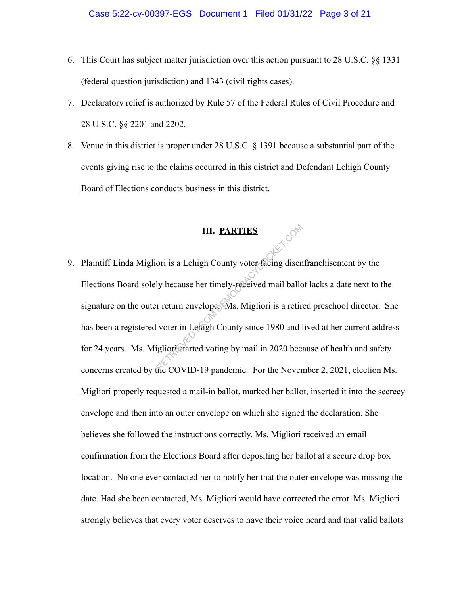- 6. This Court has subject matter jurisdiction over this action pursuant to 28 U.S.C. §§ 1331 (federal question jurisdiction) and 1343 (civil rights cases).
- 7. Declaratory relief is authorized by Rule 57 of the Federal Rules of Civil Procedure and 28 U.S.C. §§ 2201 and 2202.
- 8. Venue in this district is proper under 28 U.S.C. § 1391 because a substantial part of the events giving rise to the claims occurred in this district and Defendant Lehigh County Board of Elections conducts business in this district.

## **III. PARTIES**

9. Plaintiff Linda Migliori is a Lehigh County voter facing disenfranchisement by the Elections Board solely because her timely-received mail ballot lacks a date next to the signature on the outer return envelope. Ms. Migliori is a retired preschool director. She has been a registered voter in Lehigh County since 1980 and lived at her current address for 24 years. Ms. Migliori started voting by mail in 2020 because of health and safety concerns created by the COVID-19 pandemic. For the November 2, 2021, election Ms. Migliori properly requested a mail-in ballot, marked her ballot, inserted it into the secrecy envelope and then into an outer envelope on which she signed the declaration. She believes she followed the instructions correctly. Ms. Migliori received an email confirmation from the Elections Board after depositing her ballot at a secure drop box location. No one ever contacted her to notify her that the outer envelope was missing the date. Had she been contacted, Ms. Migliori would have corrected the error. Ms. Migliori strongly believes that every voter deserves to have their voice heard and that valid ballots III. PARTIES<br>
ori is a Lehigh County voter facing disen<br>
ly because her timely-received mail ball<br>
r return envelope. Ms. Migliori is a retir<br>
voter in Lehigh County since 1980 and l<br>
igliori started voting by mail in 2020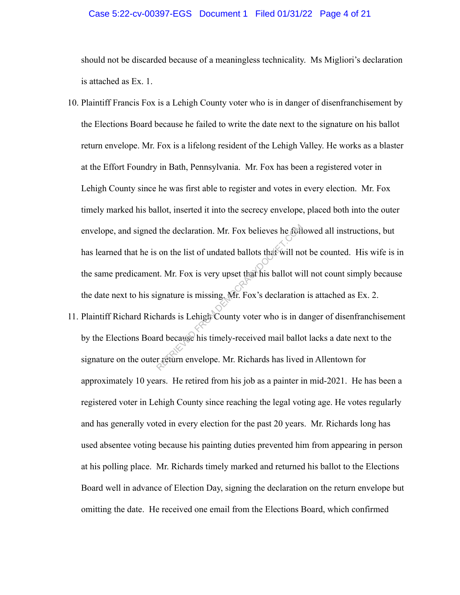## Case 5:22-cv-00397-EGS Document 1 Filed 01/31/22 Page 4 of 21

should not be discarded because of a meaningless technicality. Ms Migliori's declaration is attached as Ex. 1.

- 10. Plaintiff Francis Fox is a Lehigh County voter who is in danger of disenfranchisement by the Elections Board because he failed to write the date next to the signature on his ballot return envelope. Mr. Fox is a lifelong resident of the Lehigh Valley. He works as a blaster at the Effort Foundry in Bath, Pennsylvania. Mr. Fox has been a registered voter in Lehigh County since he was first able to register and votes in every election. Mr. Fox timely marked his ballot, inserted it into the secrecy envelope, placed both into the outer envelope, and signed the declaration. Mr. Fox believes he followed all instructions, but has learned that he is on the list of undated ballots that will not be counted. His wife is in the same predicament. Mr. Fox is very upset that his ballot will not count simply because the date next to his signature is missing. Mr. Fox's declaration is attached as Ex. 2. The declaration. Mr. Fox believes he foll<br>on the list of undated ballots that will not<br>t. Mr. Fox is very upset that his ballot wire<br>ignature is missing Mr. Fox's declaration<br>hards is Lehigh County voter who is in d<br>rd bec
- 11. Plaintiff Richard Richards is Lehigh County voter who is in danger of disenfranchisement by the Elections Board because his timely-received mail ballot lacks a date next to the signature on the outer return envelope. Mr. Richards has lived in Allentown for approximately 10 years. He retired from his job as a painter in mid-2021. He has been a registered voter in Lehigh County since reaching the legal voting age. He votes regularly and has generally voted in every election for the past 20 years. Mr. Richards long has used absentee voting because his painting duties prevented him from appearing in person at his polling place. Mr. Richards timely marked and returned his ballot to the Elections Board well in advance of Election Day, signing the declaration on the return envelope but omitting the date. He received one email from the Elections Board, which confirmed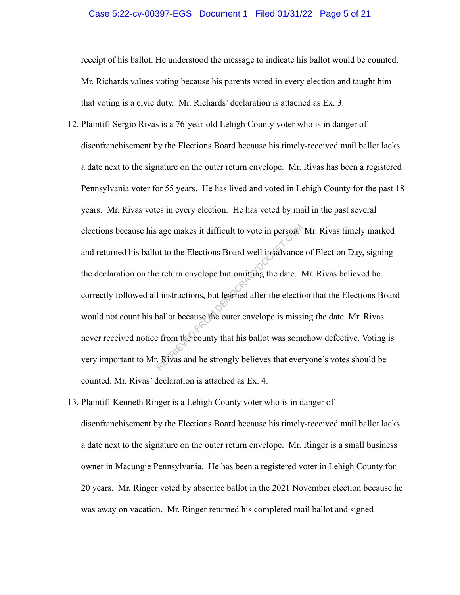#### Case 5:22-cv-00397-EGS Document 1 Filed 01/31/22 Page 5 of 21

receipt of his ballot. He understood the message to indicate his ballot would be counted. Mr. Richards values voting because his parents voted in every election and taught him that voting is a civic duty. Mr. Richards' declaration is attached as Ex. 3.

- 12. Plaintiff Sergio Rivas is a 76-year-old Lehigh County voter who is in danger of disenfranchisement by the Elections Board because his timely-received mail ballot lacks a date next to the signature on the outer return envelope. Mr. Rivas has been a registered Pennsylvania voter for 55 years. He has lived and voted in Lehigh County for the past 18 years. Mr. Rivas votes in every election. He has voted by mail in the past several elections because his age makes it difficult to vote in person. Mr. Rivas timely marked and returned his ballot to the Elections Board well in advance of Election Day, signing the declaration on the return envelope but omitting the date. Mr. Rivas believed he correctly followed all instructions, but learned after the election that the Elections Board would not count his ballot because the outer envelope is missing the date. Mr. Rivas never received notice from the county that his ballot was somehow defective. Voting is very important to Mr. Rivas and he strongly believes that everyone's votes should be counted. Mr. Rivas' declaration is attached as Ex. 4. age makes it difficult to vote in person?<br>
Solution to the Elections Board well in advance<br>
e return envelope but omitting the date. If<br>
I instructions, but learned after the election<br>
Solution because the outer envelope i
- 13. Plaintiff Kenneth Ringer is a Lehigh County voter who is in danger of disenfranchisement by the Elections Board because his timely-received mail ballot lacks a date next to the signature on the outer return envelope. Mr. Ringer is a small business owner in Macungie Pennsylvania. He has been a registered voter in Lehigh County for 20 years. Mr. Ringer voted by absentee ballot in the 2021 November election because he was away on vacation. Mr. Ringer returned his completed mail ballot and signed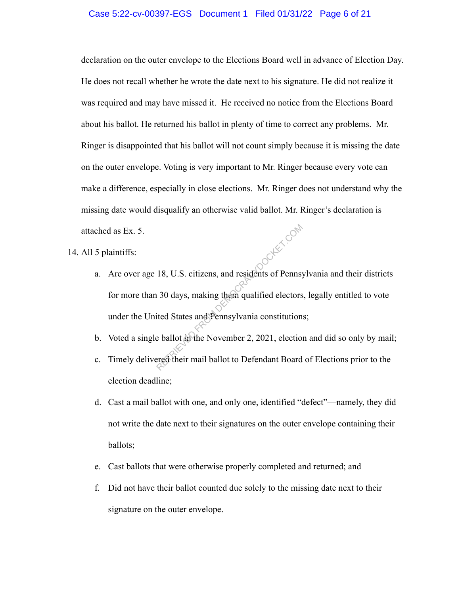#### Case 5:22-cv-00397-EGS Document 1 Filed 01/31/22 Page 6 of 21

declaration on the outer envelope to the Elections Board well in advance of Election Day. He does not recall whether he wrote the date next to his signature. He did not realize it was required and may have missed it. He received no notice from the Elections Board about his ballot. He returned his ballot in plenty of time to correct any problems. Mr. Ringer is disappointed that his ballot will not count simply because it is missing the date on the outer envelope. Voting is very important to Mr. Ringer because every vote can make a difference, especially in close elections. Mr. Ringer does not understand why the missing date would disqualify an otherwise valid ballot. Mr. Ringer's declaration is attached as Ex. 5.

14. All 5 plaintiffs:

- a. Are over age 18, U.S. citizens, and residents of Pennsylvania and their districts for more than 30 days, making them qualified electors, legally entitled to vote under the United States and Pennsylvania constitutions; 18, U.S. citizens, and residents of Pennsy<br>30 days, making them qualified electors<br>ited States and Pennsylvania constitution<br>e ballot in the November 2, 2021, election<br>ered their mail ballot to Defendant Board
- b. Voted a single ballot in the November 2, 2021, election and did so only by mail;
- c. Timely delivered their mail ballot to Defendant Board of Elections prior to the election deadline;
- d. Cast a mail ballot with one, and only one, identified "defect"—namely, they did not write the date next to their signatures on the outer envelope containing their ballots;
- e. Cast ballots that were otherwise properly completed and returned; and
- f. Did not have their ballot counted due solely to the missing date next to their signature on the outer envelope.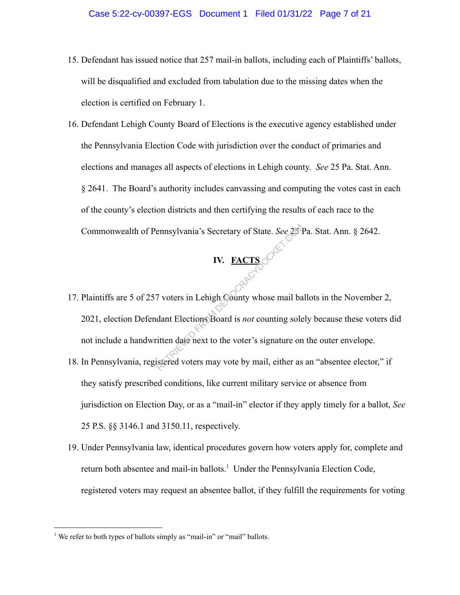- 15. Defendant has issued notice that 257 mail-in ballots, including each of Plaintiffs' ballots, will be disqualified and excluded from tabulation due to the missing dates when the election is certified on February 1.
- 16. Defendant Lehigh County Board of Elections is the executive agency established under the Pennsylvania Election Code with jurisdiction over the conduct of primaries and elections and manages all aspects of elections in Lehigh county. *See* 25 Pa. Stat. Ann. § 2641. The Board's authority includes canvassing and computing the votes cast in each of the county's election districts and then certifying the results of each race to the Commonwealth of Pennsylvania's Secretary of State. *See* 25 Pa. Stat. Ann. § 2642.

# **IV. FACTS**

- 17. Plaintiffs are 5 of 257 voters in Lehigh County whose mail ballots in the November 2, 2021, election Defendant Elections Board is *not* counting solely because these voters did not include a handwritten date next to the voter's signature on the outer envelope. Examples and Secretary of State. See 250<br>
IV. FACTS<br>
To voters in Lehigh County whose mail band<br>
dant Elections Board is *not* counting sole<br>
itten date next to the voter's signature on<br>
istered voters may vote by mail, ei
- 18. In Pennsylvania, registered voters may vote by mail, either as an "absentee elector," if they satisfy prescribed conditions, like current military service or absence from jurisdiction on Election Day, or as a "mail-in" elector if they apply timely for a ballot, *See* 25 P.S. §§ 3146.1 and 3150.11, respectively.
- 19. Under Pennsylvania law, identical procedures govern how voters apply for, complete and return both absentee and mail-in ballots.<sup>1</sup> Under the Pennsylvania Election Code, registered voters may request an absentee ballot, if they fulfill the requirements for voting

<sup>&</sup>lt;sup>1</sup> We refer to both types of ballots simply as "mail-in" or "mail" ballots.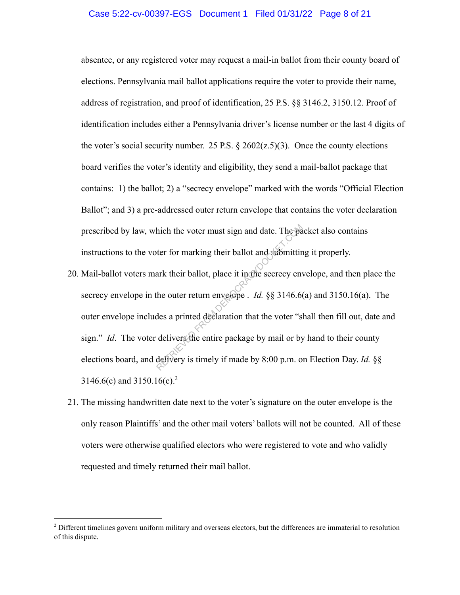#### Case 5:22-cv-00397-EGS Document 1 Filed 01/31/22 Page 8 of 21

absentee, or any registered voter may request a mail-in ballot from their county board of elections. Pennsylvania mail ballot applications require the voter to provide their name, address of registration, and proof of identification, 25 P.S. §§ 3146.2, 3150.12. Proof of identification includes either a Pennsylvania driver's license number or the last 4 digits of the voter's social security number. 25 P.S.  $\&$  2602( $z$ , 5)(3). Once the county elections board verifies the voter's identity and eligibility, they send a mail-ballot package that contains: 1) the ballot; 2) a "secrecy envelope" marked with the words "Official Election Ballot"; and 3) a pre-addressed outer return envelope that contains the voter declaration prescribed by law, which the voter must sign and date. The packet also contains instructions to the voter for marking their ballot and submitting it properly.

- 20. Mail-ballot voters mark their ballot, place it in the secrecy envelope, and then place the secrecy envelope in the outer return envelope . *Id.* §§ 3146.6(a) and 3150.16(a). The outer envelope includes a printed declaration that the voter "shall then fill out, date and sign." *Id*. The voter delivers the entire package by mail or by hand to their county elections board, and delivery is timely if made by 8:00 p.m. on Election Day. *Id.* §§ 3146.6(c) and 3150.16(c).<sup>2</sup> hich the voter must sign and date. The parties of the voter for marking their ballot and submittine and the secrecy envelope and the outer return envelope . *Id.* §§ 3146.6 des a printed declaration that the voter "slately
- 21. The missing handwritten date next to the voter's signature on the outer envelope is the only reason Plaintiffs' and the other mail voters' ballots will not be counted. All of these voters were otherwise qualified electors who were registered to vote and who validly requested and timely returned their mail ballot.

<sup>&</sup>lt;sup>2</sup> Different timelines govern uniform military and overseas electors, but the differences are immaterial to resolution of this dispute.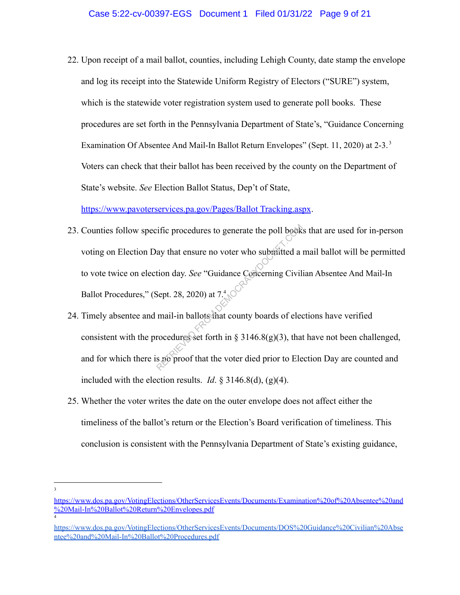22. Upon receipt of a mail ballot, counties, including Lehigh County, date stamp the envelope and log its receipt into the Statewide Uniform Registry of Electors ("SURE") system, which is the statewide voter registration system used to generate poll books. These procedures are set forth in the Pennsylvania Department of State's, "Guidance Concerning Examination Of Absentee And Mail-In Ballot Return Envelopes" (Sept. 11, 2020) at 2-3.<sup>3</sup> Voters can check that their ballot has been received by the county on the Department of State's website. *See* Election Ballot Status, Dep't of State,

https://www.pavoterservices.pa.gov/Pages/Ballot Tracking.aspx.

- 23. Counties follow specific procedures to generate the poll books that are used for in-person voting on Election Day that ensure no voter who submitted a mail ballot will be permitted to vote twice on election day. *See* "Guidance Concerning Civilian Absentee And Mail-In Ballot Procedures," (Sept. 28, 2020) at  $7.4\degree$ First procedures to generate the poll book<br>ay that ensure no voter who submitted a tion day. See "Guidance Concerning Civil<br>Sept. 28, 2020) at  $7.4$  ( $\sim$ <br>mail-in ballots that county boards of elec<br>rocedures set forth in
- 24. Timely absentee and mail-in ballots that county boards of elections have verified consistent with the procedures set forth in  $\S 3146.8(g)(3)$ , that have not been challenged, and for which there is no proof that the voter died prior to Election Day are counted and included with the election results. *Id.*  $\S$  3146.8(d), (g)(4).
- 25. Whether the voter writes the date on the outer envelope does not affect either the timeliness of the ballot's return or the Election's Board verification of timeliness. This conclusion is consistent with the Pennsylvania Department of State's existing guidance,

3

<sup>4</sup> https://www.dos.pa.gov/VotingElections/OtherServicesEvents/Documents/Examination%20of%20Absentee%20and %20Mail-In%20Ballot%20Return%20Envelopes.pdf

https://www.dos.pa.gov/VotingElections/OtherServicesEvents/Documents/DOS%20Guidance%20Civilian%20Abse ntee%20and%20Mail-In%20Ballot%20Procedures.pdf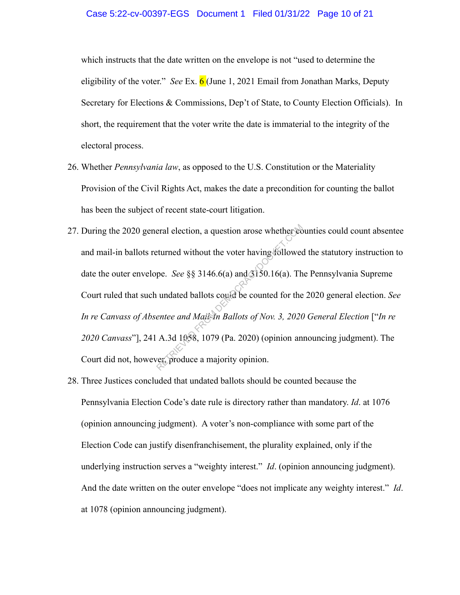#### Case 5:22-cv-00397-EGS Document 1 Filed 01/31/22 Page 10 of 21

which instructs that the date written on the envelope is not "used to determine the eligibility of the voter." *See* Ex. 6 (June 1, 2021 Email from Jonathan Marks, Deputy Secretary for Elections & Commissions, Dep't of State, to County Election Officials). In short, the requirement that the voter write the date is immaterial to the integrity of the electoral process.

- 26. Whether *Pennsylvania law*, as opposed to the U.S. Constitution or the Materiality Provision of the Civil Rights Act, makes the date a precondition for counting the ballot has been the subject of recent state-court litigation.
- 27. During the 2020 general election, a question arose whether counties could count absentee and mail-in ballots returned without the voter having followed the statutory instruction to date the outer envelope. *See* §§ 3146.6(a) and 3150.16(a). The Pennsylvania Supreme Court ruled that such undated ballots could be counted for the 2020 general election. *See In re Canvass of Absentee and Mail-In Ballots of Nov. 3, 2020 General Election* ["*In re 2020 Canvass*"], 241 A.3d 1058, 1079 (Pa. 2020) (opinion announcing judgment). The Court did not, however, produce a majority opinion. eral election, a question arose whether contract external extends the voter having follower<br>pe. *See* §§ 3146.6(a) and 3150.16(a). The undated ballots could be counted for the<br>enter and Mail in Ballots of Nov. 3, 2020<br>A.3d
- 28. Three Justices concluded that undated ballots should be counted because the Pennsylvania Election Code's date rule is directory rather than mandatory. *Id*. at 1076 (opinion announcing judgment). A voter's non-compliance with some part of the Election Code can justify disenfranchisement, the plurality explained, only if the underlying instruction serves a "weighty interest." *Id*. (opinion announcing judgment). And the date written on the outer envelope "does not implicate any weighty interest." *Id*. at 1078 (opinion announcing judgment).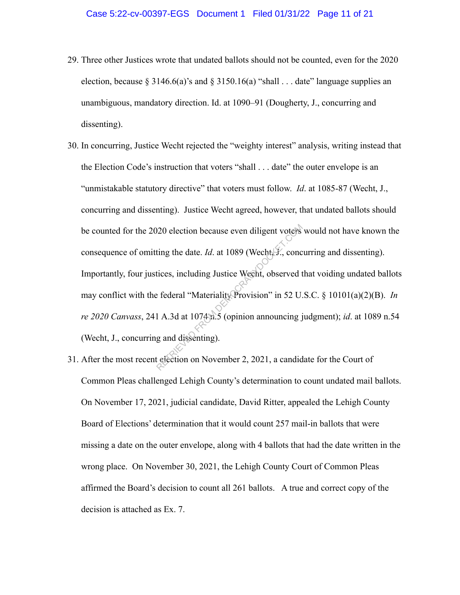- 29. Three other Justices wrote that undated ballots should not be counted, even for the 2020 election, because § 3146.6(a)'s and § 3150.16(a) "shall  $\ldots$  date" language supplies an unambiguous, mandatory direction. Id. at 1090–91 (Dougherty, J., concurring and dissenting).
- 30. In concurring, Justice Wecht rejected the "weighty interest" analysis, writing instead that the Election Code's instruction that voters "shall . . . date" the outer envelope is an "unmistakable statutory directive" that voters must follow. *Id*. at 1085-87 (Wecht, J., concurring and dissenting). Justice Wecht agreed, however, that undated ballots should be counted for the 2020 election because even diligent voters would not have known the consequence of omitting the date. *Id.* at 1089 (Wecht, J., concurring and dissenting). Importantly, four justices, including Justice Wecht, observed that voiding undated ballots may conflict with the federal "Materiality Provision" in 52 U.S.C. § 10101(a)(2)(B). *In re 2020 Canvass*, 241 A.3d at 1074 n.5 (opinion announcing judgment); *id*. at 1089 n.54 (Wecht, J., concurring and dissenting). 120 election because even diligent voters<br>ting the date. *Id.* at 1089 (Wecht, *F.*, conc<br>tices, including Justice Wecht, observed t<br>effectial "Materiality Provision" in 52 U.<br>1 A.3d at 1074 a.5 (opinion announcing j<br>g an
- 31. After the most recent election on November 2, 2021, a candidate for the Court of Common Pleas challenged Lehigh County's determination to count undated mail ballots. On November 17, 2021, judicial candidate, David Ritter, appealed the Lehigh County Board of Elections' determination that it would count 257 mail-in ballots that were missing a date on the outer envelope, along with 4 ballots that had the date written in the wrong place. On November 30, 2021, the Lehigh County Court of Common Pleas affirmed the Board's decision to count all 261 ballots. A true and correct copy of the decision is attached as Ex. 7.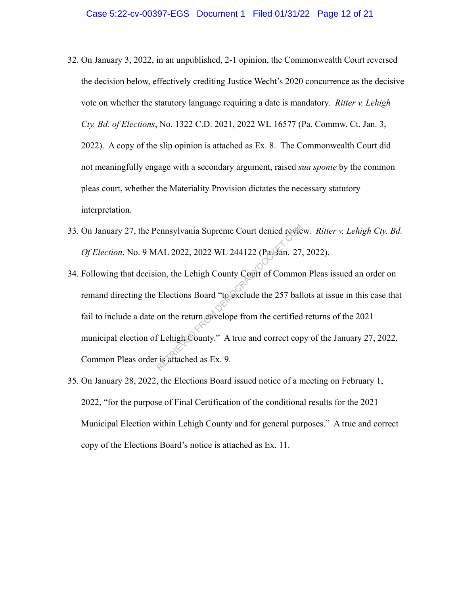- 32. On January 3, 2022, in an unpublished, 2-1 opinion, the Commonwealth Court reversed the decision below, effectively crediting Justice Wecht's 2020 concurrence as the decisive vote on whether the statutory language requiring a date is mandatory. *Ritter v. Lehigh Cty. Bd. of Elections*, No. 1322 C.D. 2021, 2022 WL 16577 (Pa. Commw. Ct. Jan. 3, 2022). A copy of the slip opinion is attached as Ex. 8. The Commonwealth Court did not meaningfully engage with a secondary argument, raised *sua sponte* by the common pleas court, whether the Materiality Provision dictates the necessary statutory interpretation.
- 33. On January 27, the Pennsylvania Supreme Court denied review. *Ritter v. Lehigh Cty. Bd. Of Election*, No. 9 MAL 2022, 2022 WL 244122 (Pa. Jan. 27, 2022).
- 34. Following that decision, the Lehigh County Court of Common Pleas issued an order on remand directing the Elections Board "to exclude the 257 ballots at issue in this case that fail to include a date on the return envelope from the certified returns of the 2021 municipal election of Lehigh County." A true and correct copy of the January 27, 2022, Common Pleas order is attached as Ex. 9. ennsylvania Supreme Court denied revie<br>
(AL 2022, 2022 WL 244122 (Pa. Ján. 27,<br>
ion, the Lehigh County Court of Common<br>
Elections Board "to exclude the 257 ball<br>
on the return envelope from the certified<br>
f Lehigh County."
- 35. On January 28, 2022, the Elections Board issued notice of a meeting on February 1, 2022, "for the purpose of Final Certification of the conditional results for the 2021 Municipal Election within Lehigh County and for general purposes." A true and correct copy of the Elections Board's notice is attached as Ex. 11.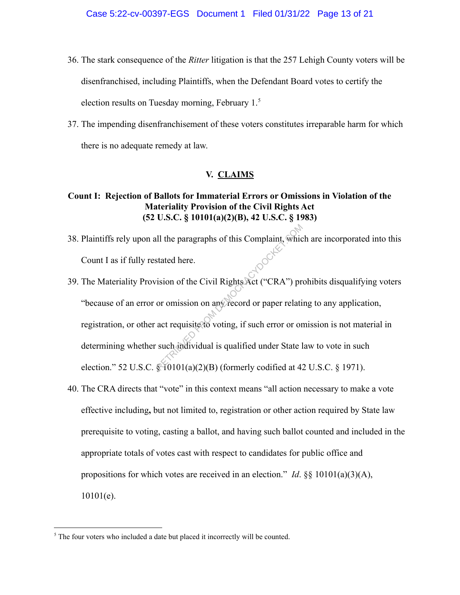- 36. The stark consequence of the *Ritter* litigation is that the 257 Lehigh County voters will be disenfranchised, including Plaintiffs, when the Defendant Board votes to certify the election results on Tuesday morning, February  $1<sup>5</sup>$
- 37. The impending disenfranchisement of these voters constitutes irreparable harm for which there is no adequate remedy at law.

## **V. CLAIMS**

# **Count I: Rejection of Ballots for Immaterial Errors or Omissions in Violation of the Materiality Provision of the Civil Rights Act (52 U.S.C. § 10101(a)(2)(B), 42 U.S.C. § 1983)**

- 38. Plaintiffs rely upon all the paragraphs of this Complaint, which are incorporated into this Count I as if fully restated here.
- 39. The Materiality Provision of the Civil Rights Act ("CRA") prohibits disqualifying voters "because of an error or omission on any record or paper relating to any application, registration, or other act requisite to voting, if such error or omission is not material in determining whether such individual is qualified under State law to vote in such election." 52 U.S.C.  $\frac{10101(a)(2)(B)}{B}$  (formerly codified at 42 U.S.C. § 1971). Il the paragraphs of this Complaint, which<br>stated here.<br>ision of the Civil Rights Act ("CRA") pro<br>or omission on any record or paper relation act requisite to voting, if such error or or<br>such individual is qualified under
- 40. The CRA directs that "vote" in this context means "all action necessary to make a vote effective including**,** but not limited to, registration or other action required by State law prerequisite to voting, casting a ballot, and having such ballot counted and included in the appropriate totals of votes cast with respect to candidates for public office and propositions for which votes are received in an election." *Id.*  $\S$ § 10101(a)(3)(A), 10101(e).

<sup>&</sup>lt;sup>5</sup> The four voters who included a date but placed it incorrectly will be counted.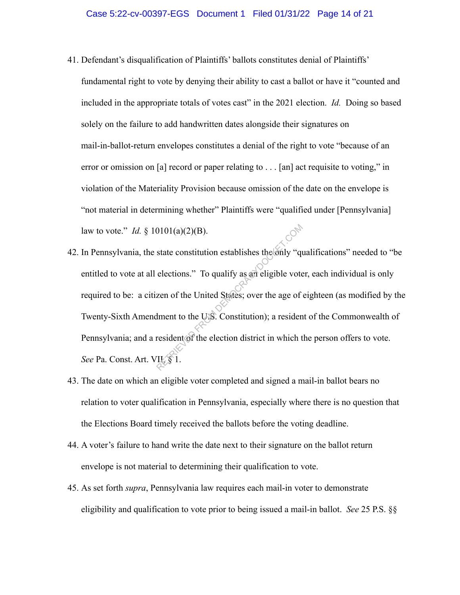- 41. Defendant's disqualification of Plaintiffs' ballots constitutes denial of Plaintiffs' fundamental right to vote by denying their ability to cast a ballot or have it "counted and included in the appropriate totals of votes cast" in the 2021 election. *Id.* Doing so based solely on the failure to add handwritten dates alongside their signatures on mail-in-ballot-return envelopes constitutes a denial of the right to vote "because of an error or omission on [a] record or paper relating to . . . [an] act requisite to voting," in violation of the Materiality Provision because omission of the date on the envelope is "not material in determining whether" Plaintiffs were "qualified under [Pennsylvania] law to vote." *Id.* § 10101(a)(2)(B).
- 42. In Pennsylvania, the state constitution establishes the only "qualifications" needed to "be entitled to vote at all elections." To qualify as an eligible voter, each individual is only required to be: a citizen of the United States; over the age of eighteen (as modified by the Twenty-Sixth Amendment to the U.S. Constitution); a resident of the Commonwealth of Pennsylvania; and a resident of the election district in which the person offers to vote. See Pa. Const. Art. VII, § 1. 0101(a)(2)(B).<br>state constitution establishes the only "quelections." To qualify as an eligible vote<br>zen of the United States; over the age of<br>dment to the USS. Constitution); a resident<br>resident of the election district
- 43. The date on which an eligible voter completed and signed a mail-in ballot bears no relation to voter qualification in Pennsylvania, especially where there is no question that the Elections Board timely received the ballots before the voting deadline.
- 44. A voter's failure to hand write the date next to their signature on the ballot return envelope is not material to determining their qualification to vote.
- 45. As set forth *supra*, Pennsylvania law requires each mail-in voter to demonstrate eligibility and qualification to vote prior to being issued a mail-in ballot. *See* 25 P.S. §§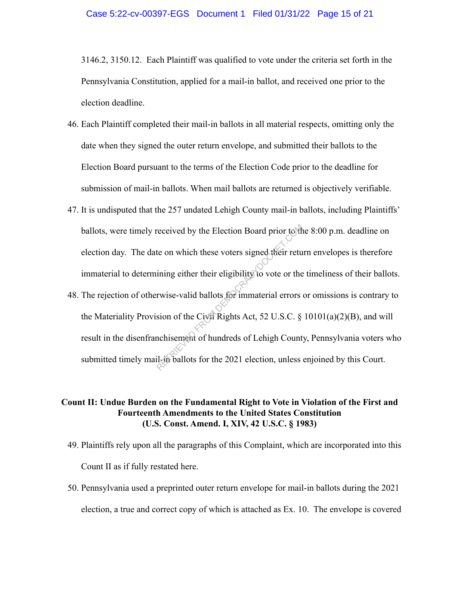3146.2, 3150.12. Each Plaintiff was qualified to vote under the criteria set forth in the Pennsylvania Constitution, applied for a mail-in ballot, and received one prior to the election deadline.

- 46. Each Plaintiff completed their mail-in ballots in all material respects, omitting only the date when they signed the outer return envelope, and submitted their ballots to the Election Board pursuant to the terms of the Election Code prior to the deadline for submission of mail-in ballots. When mail ballots are returned is objectively verifiable.
- 47. It is undisputed that the 257 undated Lehigh County mail-in ballots, including Plaintiffs' ballots, were timely received by the Election Board prior to the 8:00 p.m. deadline on election day. The date on which these voters signed their return envelopes is therefore immaterial to determining either their eligibility to vote or the timeliness of their ballots.
- 48. The rejection of otherwise-valid ballots for immaterial errors or omissions is contrary to the Materiality Provision of the Civil Rights Act, 52 U.S.C. § 10101(a)(2)(B), and will result in the disenfranchisement of hundreds of Lehigh County, Pennsylvania voters who submitted timely mail-in ballots for the 2021 election, unless enjoined by this Court. received by the Election Board prior to the<br>te on which these voters signed their returning either their eligibility to vote or the<br>rwise-valid ballots for immaterial errors<br>sion of the Civit Rights Act, 52 U.S.C. §<br>nchise

## **Count II: Undue Burden on the Fundamental Right to Vote in Violation of the First and Fourteenth Amendments to the United States Constitution (U.S. Const. Amend. I, XIV, 42 U.S.C. § 1983)**

- 49. Plaintiffs rely upon all the paragraphs of this Complaint, which are incorporated into this Count II as if fully restated here.
- 50. Pennsylvania used a preprinted outer return envelope for mail-in ballots during the 2021 election, a true and correct copy of which is attached as Ex. 10. The envelope is covered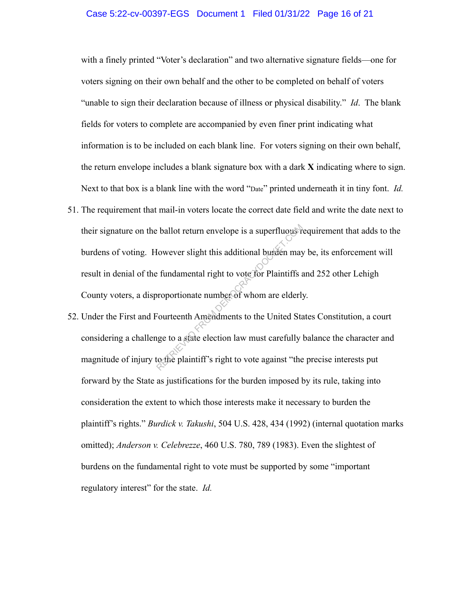## Case 5:22-cv-00397-EGS Document 1 Filed 01/31/22 Page 16 of 21

with a finely printed "Voter's declaration" and two alternative signature fields—one for voters signing on their own behalf and the other to be completed on behalf of voters "unable to sign their declaration because of illness or physical disability." *Id*. The blank fields for voters to complete are accompanied by even finer print indicating what information is to be included on each blank line. For voters signing on their own behalf, the return envelope includes a blank signature box with a dark **X** indicating where to sign. Next to that box is a blank line with the word "Date" printed underneath it in tiny font. *Id.*

- 51. The requirement that mail-in voters locate the correct date field and write the date next to their signature on the ballot return envelope is a superfluous requirement that adds to the burdens of voting. However slight this additional burden may be, its enforcement will result in denial of the fundamental right to vote for Plaintiffs and 252 other Lehigh County voters, a disproportionate number of whom are elderly. Experience is a superfluous of<br>
Experience of this additional burden may<br>
Experimental right to vote for Plaintiffs<br>
proportionate number of whom are elderly<br>
Fourteenth Amendments to the United State<br>
ge to a state electi
- 52. Under the First and Fourteenth Amendments to the United States Constitution, a court considering a challenge to a state election law must carefully balance the character and magnitude of injury to the plaintiff's right to vote against "the precise interests put forward by the State as justifications for the burden imposed by its rule, taking into consideration the extent to which those interests make it necessary to burden the plaintiff's rights." *Burdick v. Takushi*, 504 U.S. 428, 434 (1992) (internal quotation marks omitted); *Anderson v. Celebrezze*, 460 U.S. 780, 789 (1983). Even the slightest of burdens on the fundamental right to vote must be supported by some "important regulatory interest" for the state. *Id.*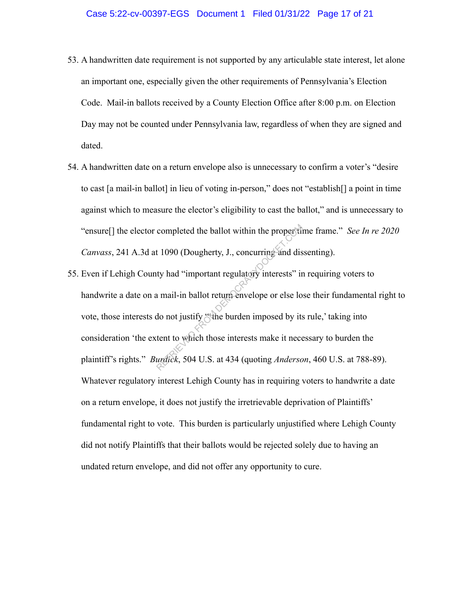- 53. A handwritten date requirement is not supported by any articulable state interest, let alone an important one, especially given the other requirements of Pennsylvania's Election Code. Mail-in ballots received by a County Election Office after 8:00 p.m. on Election Day may not be counted under Pennsylvania law, regardless of when they are signed and dated.
- 54. A handwritten date on a return envelope also is unnecessary to confirm a voter's "desire to cast [a mail-in ballot] in lieu of voting in-person," does not "establish[] a point in time against which to measure the elector's eligibility to cast the ballot," and is unnecessary to "ensure[] the elector completed the ballot within the proper time frame." *See In re 2020 Canvass*, 241 A.3d at 1090 (Dougherty, J., concurring and dissenting).
- 55. Even if Lehigh County had "important regulatory interests" in requiring voters to handwrite a date on a mail-in ballot return envelope or else lose their fundamental right to vote, those interests do not justify "the burden imposed by its rule,' taking into consideration 'the extent to which those interests make it necessary to burden the plaintiff's rights." *Burdick*, 504 U.S. at 434 (quoting *Anderson*, 460 U.S. at 788-89). Whatever regulatory interest Lehigh County has in requiring voters to handwrite a date on a return envelope, it does not justify the irretrievable deprivation of Plaintiffs' fundamental right to vote. This burden is particularly unjustified where Lehigh County did not notify Plaintiffs that their ballots would be rejected solely due to having an undated return envelope, and did not offer any opportunity to cure. completed the ballot within the propertiest<br>t 1090 (Dougherty, J., concurring and dis<br>ty had "important regulatory interests" ir<br>a mail-in ballot return envelope or else lo<br>do not justify "the burden imposed by its<br>tent to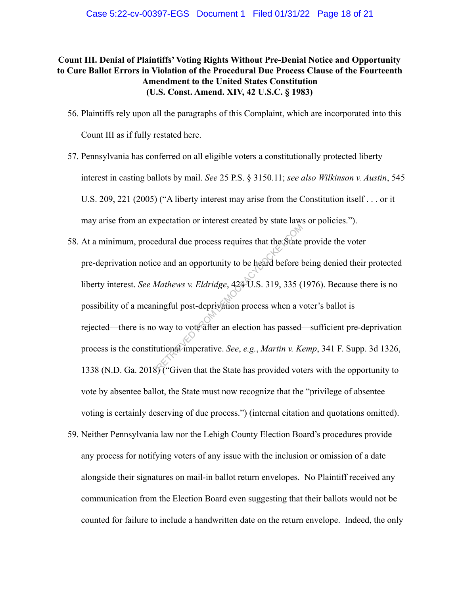# **Count III. Denial of Plaintiffs' Voting Rights Without Pre-Denial Notice and Opportunity to Cure Ballot Errors in Violation of the Procedural Due Process Clause of the Fourteenth Amendment to the United States Constitution (U.S. Const. Amend. XIV, 42 U.S.C. § 1983)**

- 56. Plaintiffs rely upon all the paragraphs of this Complaint, which are incorporated into this Count III as if fully restated here.
- 57. Pennsylvania has conferred on all eligible voters a constitutionally protected liberty interest in casting ballots by mail. *See* 25 P.S. § 3150.11; *see also Wilkinson v. Austin*, 545 U.S. 209, 221 (2005) ("A liberty interest may arise from the Constitution itself . . . or it may arise from an expectation or interest created by state laws or policies.").
- 58. At a minimum, procedural due process requires that the State provide the voter pre-deprivation notice and an opportunity to be heard before being denied their protected liberty interest. *See Mathews v. Eldridge*, 424 U.S. 319, 335 (1976). Because there is no possibility of a meaningful post-deprivation process when a voter's ballot is rejected—there is no way to vote after an election has passed—sufficient pre-deprivation process is the constitutional imperative. *See*, *e.g.*, *Martin v. Kemp*, 341 F. Supp. 3d 1326, 1338 (N.D. Ga. 2018) ("Given that the State has provided voters with the opportunity to vote by absentee ballot, the State must now recognize that the "privilege of absentee voting is certainly deserving of due process.") (internal citation and quotations omitted). External due process requires that the State<br>
e and an opportunity to be heard before to<br> *Aathews v. Eldridge*, 424 U.S. 319, 335 (<br>
ingful post-deprivation process when a v<br>
way to vote after an election has passed-<br>
ut
- 59. Neither Pennsylvania law nor the Lehigh County Election Board's procedures provide any process for notifying voters of any issue with the inclusion or omission of a date alongside their signatures on mail-in ballot return envelopes. No Plaintiff received any communication from the Election Board even suggesting that their ballots would not be counted for failure to include a handwritten date on the return envelope. Indeed, the only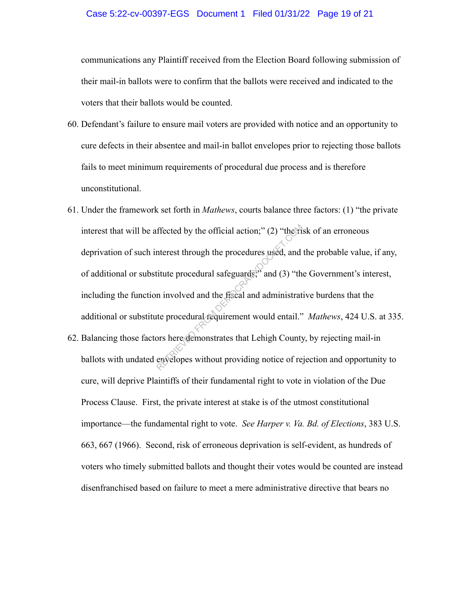## Case 5:22-cv-00397-EGS Document 1 Filed 01/31/22 Page 19 of 21

communications any Plaintiff received from the Election Board following submission of their mail-in ballots were to confirm that the ballots were received and indicated to the voters that their ballots would be counted.

- 60. Defendant's failure to ensure mail voters are provided with notice and an opportunity to cure defects in their absentee and mail-in ballot envelopes prior to rejecting those ballots fails to meet minimum requirements of procedural due process and is therefore unconstitutional.
- 61. Under the framework set forth in *Mathews*, courts balance three factors: (1) "the private interest that will be affected by the official action;" (2) "the risk of an erroneous deprivation of such interest through the procedures used, and the probable value, if any, of additional or substitute procedural safeguards;" and (3) "the Government's interest, including the function involved and the fiscal and administrative burdens that the additional or substitute procedural requirement would entail." *Mathews*, 424 U.S. at 335. ffected by the official action;" (2) "the rise<br>nterest through the procedures used, and<br>titute procedural safeguards;" and (3) "th<br>n involved and the fiscal and administrat<br>te procedural requirement would entail."<br>ors here
- 62. Balancing those factors here demonstrates that Lehigh County, by rejecting mail-in ballots with undated envelopes without providing notice of rejection and opportunity to cure, will deprive Plaintiffs of their fundamental right to vote in violation of the Due Process Clause. First, the private interest at stake is of the utmost constitutional importance—the fundamental right to vote. *See Harper v. Va. Bd. of Elections*, 383 U.S. 663, 667 (1966). Second, risk of erroneous deprivation is self-evident, as hundreds of voters who timely submitted ballots and thought their votes would be counted are instead disenfranchised based on failure to meet a mere administrative directive that bears no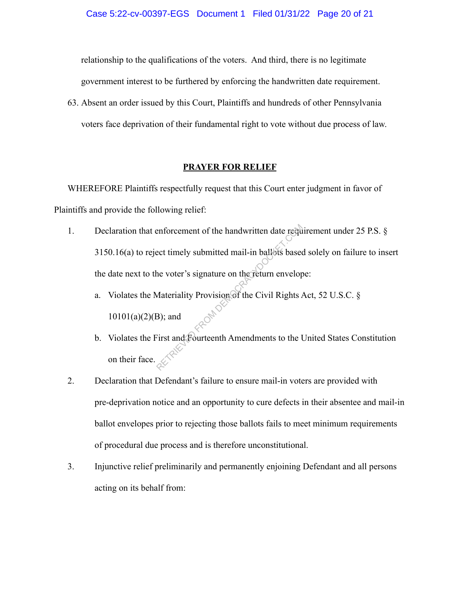relationship to the qualifications of the voters. And third, there is no legitimate government interest to be furthered by enforcing the handwritten date requirement.

63. Absent an order issued by this Court, Plaintiffs and hundreds of other Pennsylvania voters face deprivation of their fundamental right to vote without due process of law.

## **PRAYER FOR RELIEF**

WHEREFORE Plaintiffs respectfully request that this Court enter judgment in favor of Plaintiffs and provide the following relief:

- 1. Declaration that enforcement of the handwritten date requirement under 25 P.S. § 3150.16(a) to reject timely submitted mail-in ballots based solely on failure to insert the date next to the voter's signature on the return envelope: Example 1 and the handwritten date required timely submitted mail-in ballots based<br>the voter's signature on the return envelop<br>Materiality Provision of the Civil Rights A<br>B); and<br>First and Fourteenth Amendments to the U
	- a. Violates the Materiality Provision of the Civil Rights Act, 52 U.S.C. §  $10101(a)(2)(B)$ ; and
	- b. Violates the First and Fourteenth Amendments to the United States Constitution on their face.
- 2. Declaration that Defendant's failure to ensure mail-in voters are provided with pre-deprivation notice and an opportunity to cure defects in their absentee and mail-in ballot envelopes prior to rejecting those ballots fails to meet minimum requirements of procedural due process and is therefore unconstitutional.
- 3. Injunctive relief preliminarily and permanently enjoining Defendant and all persons acting on its behalf from: